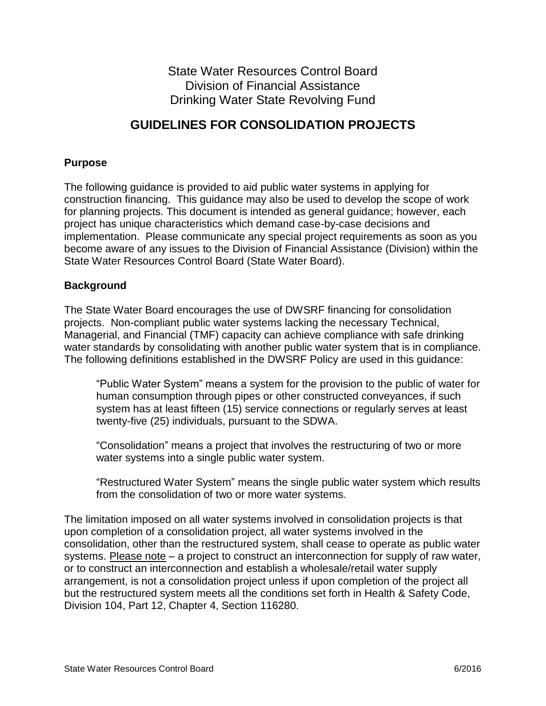State Water Resources Control Board Division of Financial Assistance Drinking Water State Revolving Fund

# **GUIDELINES FOR CONSOLIDATION PROJECTS**

## **Purpose**

The following guidance is provided to aid public water systems in applying for construction financing. This guidance may also be used to develop the scope of work for planning projects. This document is intended as general guidance; however, each project has unique characteristics which demand case-by-case decisions and implementation. Please communicate any special project requirements as soon as you become aware of any issues to the Division of Financial Assistance (Division) within the State Water Resources Control Board (State Water Board).

## **Background**

The State Water Board encourages the use of DWSRF financing for consolidation projects. Non-compliant public water systems lacking the necessary Technical, Managerial, and Financial (TMF) capacity can achieve compliance with safe drinking water standards by consolidating with another public water system that is in compliance. The following definitions established in the DWSRF Policy are used in this guidance:

"Public Water System" means a system for the provision to the public of water for human consumption through pipes or other constructed conveyances, if such system has at least fifteen (15) service connections or regularly serves at least twenty-five (25) individuals, pursuant to the SDWA.

"Consolidation" means a project that involves the restructuring of two or more water systems into a single public water system.

"Restructured Water System" means the single public water system which results from the consolidation of two or more water systems.

The limitation imposed on all water systems involved in consolidation projects is that upon completion of a consolidation project, all water systems involved in the consolidation, other than the restructured system, shall cease to operate as public water systems. Please note – a project to construct an interconnection for supply of raw water, or to construct an interconnection and establish a wholesale/retail water supply arrangement, is not a consolidation project unless if upon completion of the project all but the restructured system meets all the conditions set forth in Health & Safety Code, Division 104, Part 12, Chapter 4, Section 116280.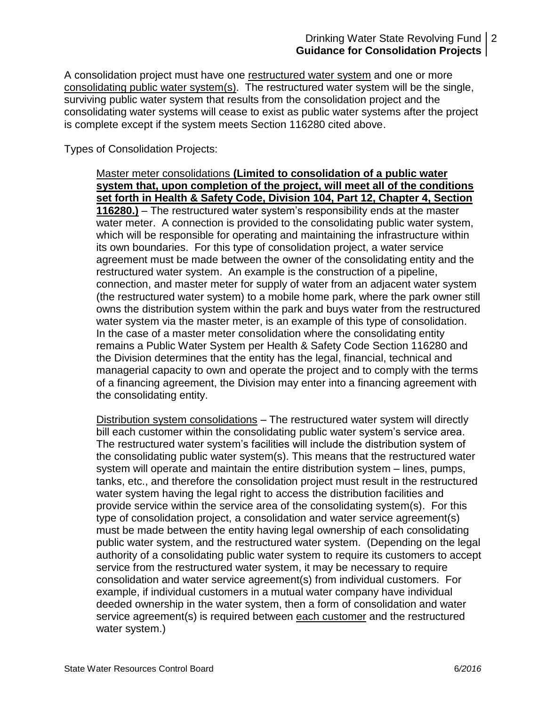## Drinking Water State Revolving Fund 2 **Guidance for Consolidation Projects**

A consolidation project must have one restructured water system and one or more consolidating public water system(s). The restructured water system will be the single, surviving public water system that results from the consolidation project and the consolidating water systems will cease to exist as public water systems after the project is complete except if the system meets Section 116280 cited above.

Types of Consolidation Projects:

Master meter consolidations **(Limited to consolidation of a public water system that, upon completion of the project, will meet all of the conditions set forth in Health & Safety Code, Division 104, Part 12, Chapter 4, Section 116280.)** – The restructured water system's responsibility ends at the master water meter. A connection is provided to the consolidating public water system, which will be responsible for operating and maintaining the infrastructure within its own boundaries. For this type of consolidation project, a water service agreement must be made between the owner of the consolidating entity and the restructured water system. An example is the construction of a pipeline, connection, and master meter for supply of water from an adjacent water system (the restructured water system) to a mobile home park, where the park owner still owns the distribution system within the park and buys water from the restructured water system via the master meter, is an example of this type of consolidation. In the case of a master meter consolidation where the consolidating entity remains a Public Water System per Health & Safety Code Section 116280 and the Division determines that the entity has the legal, financial, technical and managerial capacity to own and operate the project and to comply with the terms of a financing agreement, the Division may enter into a financing agreement with the consolidating entity.

Distribution system consolidations – The restructured water system will directly bill each customer within the consolidating public water system's service area. The restructured water system's facilities will include the distribution system of the consolidating public water system(s). This means that the restructured water system will operate and maintain the entire distribution system – lines, pumps, tanks, etc., and therefore the consolidation project must result in the restructured water system having the legal right to access the distribution facilities and provide service within the service area of the consolidating system(s). For this type of consolidation project, a consolidation and water service agreement(s) must be made between the entity having legal ownership of each consolidating public water system, and the restructured water system. (Depending on the legal authority of a consolidating public water system to require its customers to accept service from the restructured water system, it may be necessary to require consolidation and water service agreement(s) from individual customers. For example, if individual customers in a mutual water company have individual deeded ownership in the water system, then a form of consolidation and water service agreement(s) is required between each customer and the restructured water system.)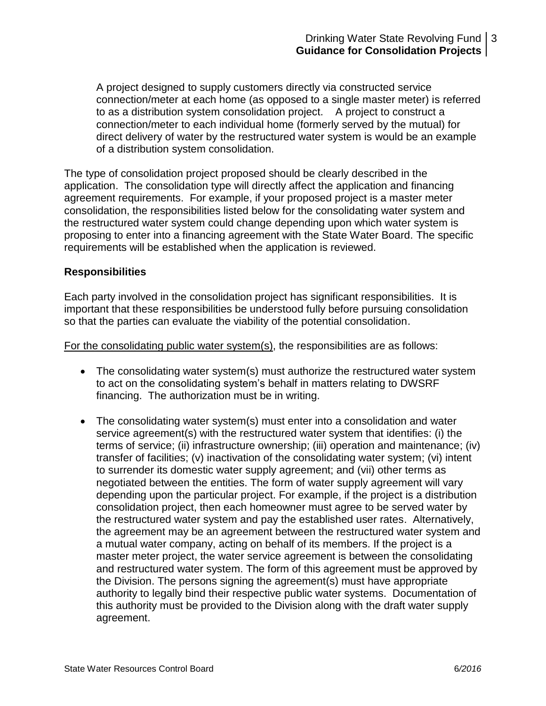A project designed to supply customers directly via constructed service connection/meter at each home (as opposed to a single master meter) is referred to as a distribution system consolidation project. A project to construct a connection/meter to each individual home (formerly served by the mutual) for direct delivery of water by the restructured water system is would be an example of a distribution system consolidation.

The type of consolidation project proposed should be clearly described in the application. The consolidation type will directly affect the application and financing agreement requirements. For example, if your proposed project is a master meter consolidation, the responsibilities listed below for the consolidating water system and the restructured water system could change depending upon which water system is proposing to enter into a financing agreement with the State Water Board. The specific requirements will be established when the application is reviewed.

#### **Responsibilities**

Each party involved in the consolidation project has significant responsibilities. It is important that these responsibilities be understood fully before pursuing consolidation so that the parties can evaluate the viability of the potential consolidation.

For the consolidating public water system(s), the responsibilities are as follows:

- The consolidating water system(s) must authorize the restructured water system to act on the consolidating system's behalf in matters relating to DWSRF financing. The authorization must be in writing.
- The consolidating water system(s) must enter into a consolidation and water service agreement(s) with the restructured water system that identifies: (i) the terms of service; (ii) infrastructure ownership; (iii) operation and maintenance; (iv) transfer of facilities; (v) inactivation of the consolidating water system; (vi) intent to surrender its domestic water supply agreement; and (vii) other terms as negotiated between the entities. The form of water supply agreement will vary depending upon the particular project. For example, if the project is a distribution consolidation project, then each homeowner must agree to be served water by the restructured water system and pay the established user rates. Alternatively, the agreement may be an agreement between the restructured water system and a mutual water company, acting on behalf of its members. If the project is a master meter project, the water service agreement is between the consolidating and restructured water system. The form of this agreement must be approved by the Division. The persons signing the agreement(s) must have appropriate authority to legally bind their respective public water systems. Documentation of this authority must be provided to the Division along with the draft water supply agreement.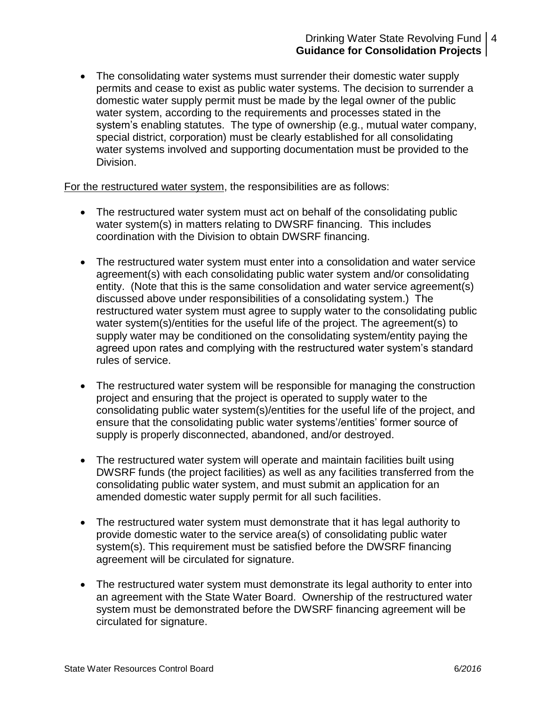## Drinking Water State Revolving Fund 4 **Guidance for Consolidation Projects**

 The consolidating water systems must surrender their domestic water supply permits and cease to exist as public water systems. The decision to surrender a domestic water supply permit must be made by the legal owner of the public water system, according to the requirements and processes stated in the system's enabling statutes. The type of ownership (e.g., mutual water company, special district, corporation) must be clearly established for all consolidating water systems involved and supporting documentation must be provided to the Division.

For the restructured water system, the responsibilities are as follows:

- The restructured water system must act on behalf of the consolidating public water system(s) in matters relating to DWSRF financing. This includes coordination with the Division to obtain DWSRF financing.
- The restructured water system must enter into a consolidation and water service agreement(s) with each consolidating public water system and/or consolidating entity. (Note that this is the same consolidation and water service agreement(s) discussed above under responsibilities of a consolidating system.) The restructured water system must agree to supply water to the consolidating public water system(s)/entities for the useful life of the project. The agreement(s) to supply water may be conditioned on the consolidating system/entity paying the agreed upon rates and complying with the restructured water system's standard rules of service.
- The restructured water system will be responsible for managing the construction project and ensuring that the project is operated to supply water to the consolidating public water system(s)/entities for the useful life of the project, and ensure that the consolidating public water systems'/entities' former source of supply is properly disconnected, abandoned, and/or destroyed.
- The restructured water system will operate and maintain facilities built using DWSRF funds (the project facilities) as well as any facilities transferred from the consolidating public water system, and must submit an application for an amended domestic water supply permit for all such facilities.
- The restructured water system must demonstrate that it has legal authority to provide domestic water to the service area(s) of consolidating public water system(s). This requirement must be satisfied before the DWSRF financing agreement will be circulated for signature.
- The restructured water system must demonstrate its legal authority to enter into an agreement with the State Water Board. Ownership of the restructured water system must be demonstrated before the DWSRF financing agreement will be circulated for signature.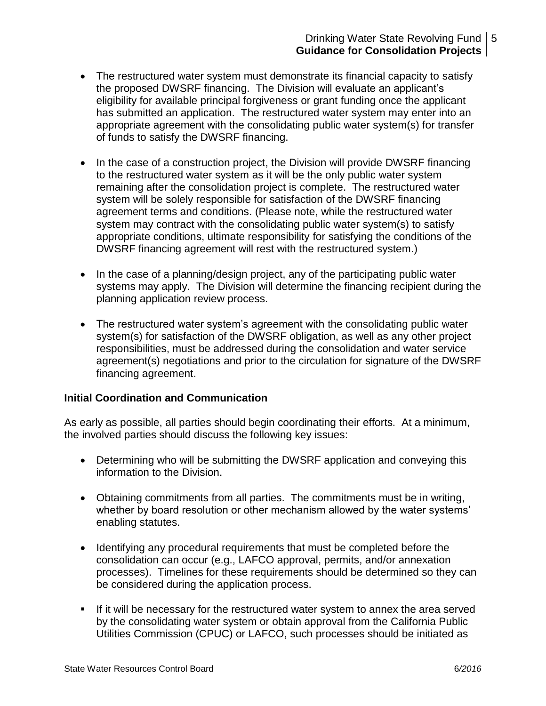## Drinking Water State Revolving Fund 5 **Guidance for Consolidation Projects**

- The restructured water system must demonstrate its financial capacity to satisfy the proposed DWSRF financing. The Division will evaluate an applicant's eligibility for available principal forgiveness or grant funding once the applicant has submitted an application. The restructured water system may enter into an appropriate agreement with the consolidating public water system(s) for transfer of funds to satisfy the DWSRF financing.
- In the case of a construction project, the Division will provide DWSRF financing to the restructured water system as it will be the only public water system remaining after the consolidation project is complete. The restructured water system will be solely responsible for satisfaction of the DWSRF financing agreement terms and conditions. (Please note, while the restructured water system may contract with the consolidating public water system(s) to satisfy appropriate conditions, ultimate responsibility for satisfying the conditions of the DWSRF financing agreement will rest with the restructured system.)
- In the case of a planning/design project, any of the participating public water systems may apply. The Division will determine the financing recipient during the planning application review process.
- The restructured water system's agreement with the consolidating public water system(s) for satisfaction of the DWSRF obligation, as well as any other project responsibilities, must be addressed during the consolidation and water service agreement(s) negotiations and prior to the circulation for signature of the DWSRF financing agreement.

## **Initial Coordination and Communication**

As early as possible, all parties should begin coordinating their efforts. At a minimum, the involved parties should discuss the following key issues:

- Determining who will be submitting the DWSRF application and conveying this information to the Division.
- Obtaining commitments from all parties. The commitments must be in writing, whether by board resolution or other mechanism allowed by the water systems' enabling statutes.
- Identifying any procedural requirements that must be completed before the consolidation can occur (e.g., LAFCO approval, permits, and/or annexation processes). Timelines for these requirements should be determined so they can be considered during the application process.
- If it will be necessary for the restructured water system to annex the area served by the consolidating water system or obtain approval from the California Public Utilities Commission (CPUC) or LAFCO, such processes should be initiated as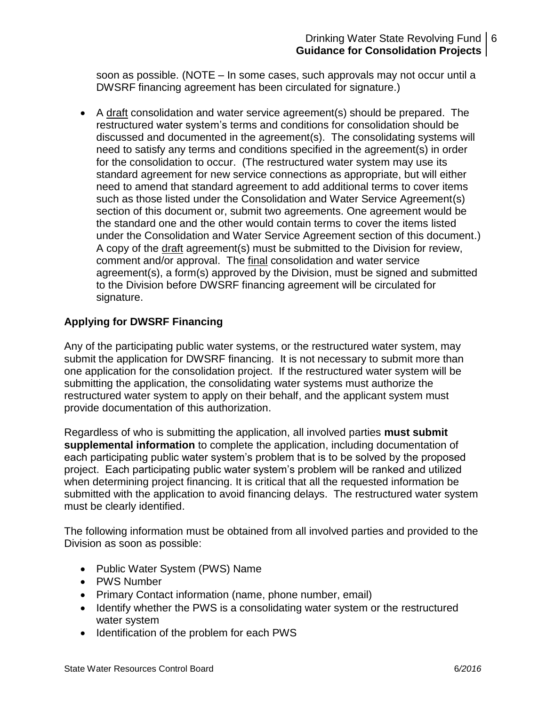## Drinking Water State Revolving Fund 6 **Guidance for Consolidation Projects**

soon as possible. (NOTE – In some cases, such approvals may not occur until a DWSRF financing agreement has been circulated for signature.)

 A draft consolidation and water service agreement(s) should be prepared. The restructured water system's terms and conditions for consolidation should be discussed and documented in the agreement(s). The consolidating systems will need to satisfy any terms and conditions specified in the agreement(s) in order for the consolidation to occur. (The restructured water system may use its standard agreement for new service connections as appropriate, but will either need to amend that standard agreement to add additional terms to cover items such as those listed under the Consolidation and Water Service Agreement(s) section of this document or, submit two agreements. One agreement would be the standard one and the other would contain terms to cover the items listed under the Consolidation and Water Service Agreement section of this document.) A copy of the draft agreement(s) must be submitted to the Division for review, comment and/or approval. The final consolidation and water service agreement(s), a form(s) approved by the Division, must be signed and submitted to the Division before DWSRF financing agreement will be circulated for signature.

## **Applying for DWSRF Financing**

Any of the participating public water systems, or the restructured water system, may submit the application for DWSRF financing. It is not necessary to submit more than one application for the consolidation project. If the restructured water system will be submitting the application, the consolidating water systems must authorize the restructured water system to apply on their behalf, and the applicant system must provide documentation of this authorization.

Regardless of who is submitting the application, all involved parties **must submit supplemental information** to complete the application, including documentation of each participating public water system's problem that is to be solved by the proposed project. Each participating public water system's problem will be ranked and utilized when determining project financing. It is critical that all the requested information be submitted with the application to avoid financing delays. The restructured water system must be clearly identified.

The following information must be obtained from all involved parties and provided to the Division as soon as possible:

- Public Water System (PWS) Name
- PWS Number
- Primary Contact information (name, phone number, email)
- Identify whether the PWS is a consolidating water system or the restructured water system
- Identification of the problem for each PWS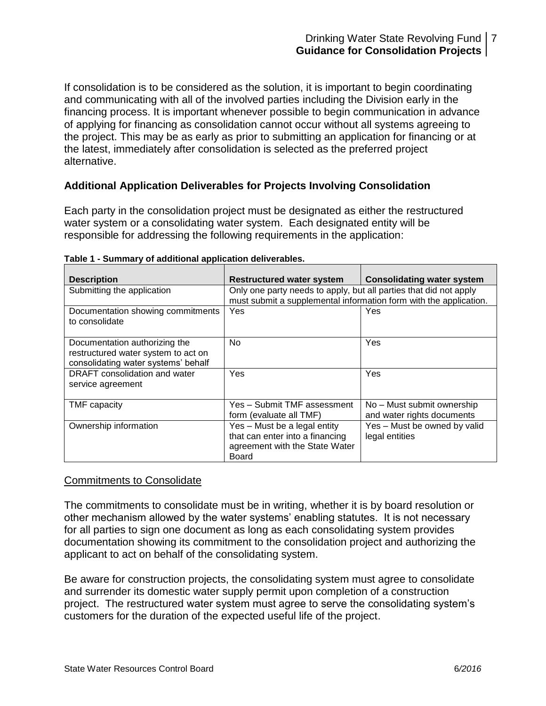If consolidation is to be considered as the solution, it is important to begin coordinating and communicating with all of the involved parties including the Division early in the financing process. It is important whenever possible to begin communication in advance of applying for financing as consolidation cannot occur without all systems agreeing to the project. This may be as early as prior to submitting an application for financing or at the latest, immediately after consolidation is selected as the preferred project alternative.

## **Additional Application Deliverables for Projects Involving Consolidation**

Each party in the consolidation project must be designated as either the restructured water system or a consolidating water system. Each designated entity will be responsible for addressing the following requirements in the application:

| <b>Description</b>                                                                                          | <b>Restructured water system</b>                                                                                                       | <b>Consolidating water system</b>                        |
|-------------------------------------------------------------------------------------------------------------|----------------------------------------------------------------------------------------------------------------------------------------|----------------------------------------------------------|
| Submitting the application                                                                                  | Only one party needs to apply, but all parties that did not apply<br>must submit a supplemental information form with the application. |                                                          |
| Documentation showing commitments<br>to consolidate                                                         | <b>Yes</b>                                                                                                                             | Yes                                                      |
| Documentation authorizing the<br>restructured water system to act on<br>consolidating water systems' behalf | No.                                                                                                                                    | Yes                                                      |
| DRAFT consolidation and water<br>service agreement                                                          | Yes                                                                                                                                    | Yes                                                      |
| TMF capacity                                                                                                | Yes - Submit TMF assessment<br>form (evaluate all TMF)                                                                                 | No – Must submit ownership<br>and water rights documents |
| Ownership information                                                                                       | Yes - Must be a legal entity<br>that can enter into a financing<br>agreement with the State Water<br><b>Board</b>                      | Yes - Must be owned by valid<br>legal entities           |

#### **Table 1 - Summary of additional application deliverables.**

## Commitments to Consolidate

The commitments to consolidate must be in writing, whether it is by board resolution or other mechanism allowed by the water systems' enabling statutes. It is not necessary for all parties to sign one document as long as each consolidating system provides documentation showing its commitment to the consolidation project and authorizing the applicant to act on behalf of the consolidating system.

Be aware for construction projects, the consolidating system must agree to consolidate and surrender its domestic water supply permit upon completion of a construction project. The restructured water system must agree to serve the consolidating system's customers for the duration of the expected useful life of the project.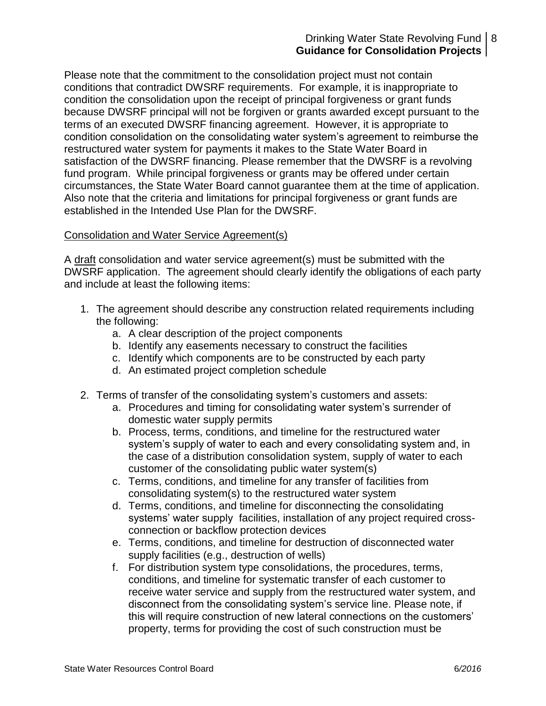## Drinking Water State Revolving Fund | 8 **Guidance for Consolidation Projects**

Please note that the commitment to the consolidation project must not contain conditions that contradict DWSRF requirements. For example, it is inappropriate to condition the consolidation upon the receipt of principal forgiveness or grant funds because DWSRF principal will not be forgiven or grants awarded except pursuant to the terms of an executed DWSRF financing agreement. However, it is appropriate to condition consolidation on the consolidating water system's agreement to reimburse the restructured water system for payments it makes to the State Water Board in satisfaction of the DWSRF financing. Please remember that the DWSRF is a revolving fund program. While principal forgiveness or grants may be offered under certain circumstances, the State Water Board cannot guarantee them at the time of application. Also note that the criteria and limitations for principal forgiveness or grant funds are established in the Intended Use Plan for the DWSRF.

#### Consolidation and Water Service Agreement(s)

A draft consolidation and water service agreement(s) must be submitted with the DWSRF application. The agreement should clearly identify the obligations of each party and include at least the following items:

- 1. The agreement should describe any construction related requirements including the following:
	- a. A clear description of the project components
	- b. Identify any easements necessary to construct the facilities
	- c. Identify which components are to be constructed by each party
	- d. An estimated project completion schedule
- 2. Terms of transfer of the consolidating system's customers and assets:
	- a. Procedures and timing for consolidating water system's surrender of domestic water supply permits
	- b. Process, terms, conditions, and timeline for the restructured water system's supply of water to each and every consolidating system and, in the case of a distribution consolidation system, supply of water to each customer of the consolidating public water system(s)
	- c. Terms, conditions, and timeline for any transfer of facilities from consolidating system(s) to the restructured water system
	- d. Terms, conditions, and timeline for disconnecting the consolidating systems' water supply facilities, installation of any project required crossconnection or backflow protection devices
	- e. Terms, conditions, and timeline for destruction of disconnected water supply facilities (e.g., destruction of wells)
	- f. For distribution system type consolidations, the procedures, terms, conditions, and timeline for systematic transfer of each customer to receive water service and supply from the restructured water system, and disconnect from the consolidating system's service line. Please note, if this will require construction of new lateral connections on the customers' property, terms for providing the cost of such construction must be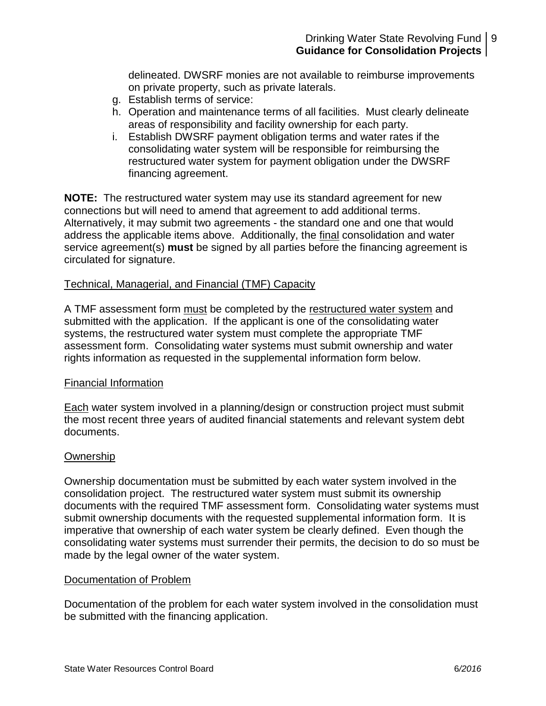delineated. DWSRF monies are not available to reimburse improvements on private property, such as private laterals.

- g. Establish terms of service:
- h. Operation and maintenance terms of all facilities. Must clearly delineate areas of responsibility and facility ownership for each party.
- i. Establish DWSRF payment obligation terms and water rates if the consolidating water system will be responsible for reimbursing the restructured water system for payment obligation under the DWSRF financing agreement.

**NOTE:** The restructured water system may use its standard agreement for new connections but will need to amend that agreement to add additional terms. Alternatively, it may submit two agreements - the standard one and one that would address the applicable items above. Additionally, the final consolidation and water service agreement(s) **must** be signed by all parties before the financing agreement is circulated for signature.

## Technical, Managerial, and Financial (TMF) Capacity

A TMF assessment form must be completed by the restructured water system and submitted with the application. If the applicant is one of the consolidating water systems, the restructured water system must complete the appropriate TMF assessment form. Consolidating water systems must submit ownership and water rights information as requested in the supplemental information form below.

## Financial Information

Each water system involved in a planning/design or construction project must submit the most recent three years of audited financial statements and relevant system debt documents.

## **Ownership**

Ownership documentation must be submitted by each water system involved in the consolidation project. The restructured water system must submit its ownership documents with the required TMF assessment form. Consolidating water systems must submit ownership documents with the requested supplemental information form. It is imperative that ownership of each water system be clearly defined. Even though the consolidating water systems must surrender their permits, the decision to do so must be made by the legal owner of the water system.

## Documentation of Problem

Documentation of the problem for each water system involved in the consolidation must be submitted with the financing application.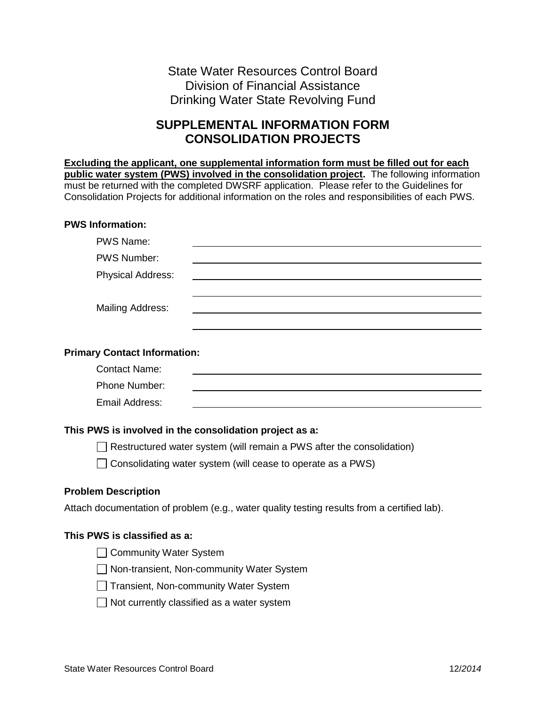# State Water Resources Control Board Division of Financial Assistance Drinking Water State Revolving Fund

# **SUPPLEMENTAL INFORMATION FORM CONSOLIDATION PROJECTS**

**Excluding the applicant, one supplemental information form must be filled out for each public water system (PWS) involved in the consolidation project.** The following information must be returned with the completed DWSRF application. Please refer to the Guidelines for Consolidation Projects for additional information on the roles and responsibilities of each PWS.

#### **PWS Information:**

| <b>PWS Name:</b>                    |                                                                                             |
|-------------------------------------|---------------------------------------------------------------------------------------------|
| <b>PWS Number:</b>                  |                                                                                             |
| <b>Physical Address:</b>            |                                                                                             |
|                                     |                                                                                             |
| <b>Mailing Address:</b>             |                                                                                             |
|                                     |                                                                                             |
|                                     |                                                                                             |
| <b>Primary Contact Information:</b> |                                                                                             |
| <b>Contact Name:</b>                |                                                                                             |
| Phone Number:                       |                                                                                             |
| Email Address:                      |                                                                                             |
|                                     |                                                                                             |
|                                     | This PWS is involved in the consolidation project as a:                                     |
|                                     | $\Box$ Restructured water system (will remain a PWS after the consolidation)                |
|                                     | $\Box$ Consolidating water system (will cease to operate as a PWS)                          |
| <b>Problem Description</b>          |                                                                                             |
|                                     | Attach documentation of problem (e.g., water quality testing results from a certified lab). |
| This PWS is classified as a:        |                                                                                             |
| <b>Community Water System</b>       |                                                                                             |
|                                     | Non-transient, Non-community Water System                                                   |
|                                     | Transient, Non-community Water System                                                       |

 $\Box$  Not currently classified as a water system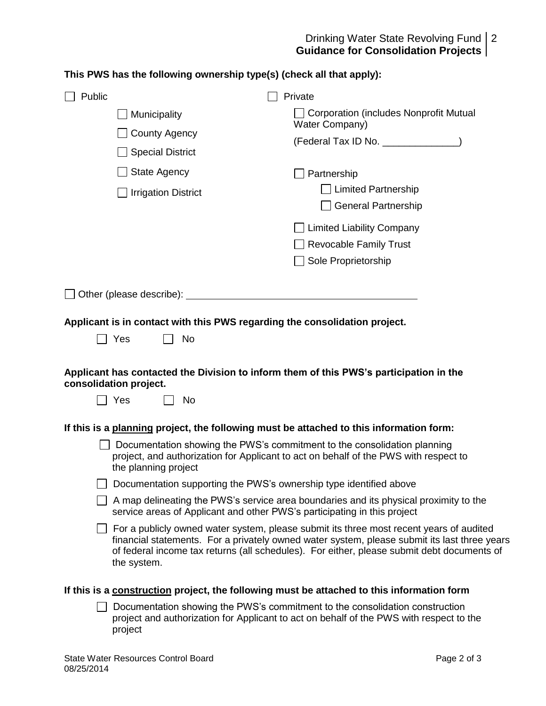#### Drinking Water State Revolving Fund **Guidance for Consolidation Projects** 2

## **This PWS has the following ownership type(s) (check all that apply):**

| Public                                                                                                                                                              | Private                                                                                                                                                                                                                                                                                      |  |
|---------------------------------------------------------------------------------------------------------------------------------------------------------------------|----------------------------------------------------------------------------------------------------------------------------------------------------------------------------------------------------------------------------------------------------------------------------------------------|--|
| Municipality                                                                                                                                                        | <b>Corporation (includes Nonprofit Mutual</b>                                                                                                                                                                                                                                                |  |
| <b>County Agency</b>                                                                                                                                                | Water Company)                                                                                                                                                                                                                                                                               |  |
| <b>Special District</b>                                                                                                                                             | (Federal Tax ID No. _______________)                                                                                                                                                                                                                                                         |  |
| <b>State Agency</b>                                                                                                                                                 | Partnership                                                                                                                                                                                                                                                                                  |  |
| <b>Irrigation District</b>                                                                                                                                          | <b>Limited Partnership</b>                                                                                                                                                                                                                                                                   |  |
|                                                                                                                                                                     | <b>General Partnership</b>                                                                                                                                                                                                                                                                   |  |
|                                                                                                                                                                     | <b>Limited Liability Company</b>                                                                                                                                                                                                                                                             |  |
|                                                                                                                                                                     | <b>Revocable Family Trust</b>                                                                                                                                                                                                                                                                |  |
|                                                                                                                                                                     | Sole Proprietorship                                                                                                                                                                                                                                                                          |  |
|                                                                                                                                                                     |                                                                                                                                                                                                                                                                                              |  |
| Other (please describe):                                                                                                                                            |                                                                                                                                                                                                                                                                                              |  |
| Applicant is in contact with this PWS regarding the consolidation project.                                                                                          |                                                                                                                                                                                                                                                                                              |  |
| Yes<br>No                                                                                                                                                           |                                                                                                                                                                                                                                                                                              |  |
|                                                                                                                                                                     |                                                                                                                                                                                                                                                                                              |  |
| Applicant has contacted the Division to inform them of this PWS's participation in the<br>consolidation project.                                                    |                                                                                                                                                                                                                                                                                              |  |
| ∐ Yes<br><b>No</b>                                                                                                                                                  |                                                                                                                                                                                                                                                                                              |  |
|                                                                                                                                                                     |                                                                                                                                                                                                                                                                                              |  |
| If this is a planning project, the following must be attached to this information form:<br>Documentation showing the PWS's commitment to the consolidation planning |                                                                                                                                                                                                                                                                                              |  |
| the planning project                                                                                                                                                | project, and authorization for Applicant to act on behalf of the PWS with respect to                                                                                                                                                                                                         |  |
| Documentation supporting the PWS's ownership type identified above                                                                                                  |                                                                                                                                                                                                                                                                                              |  |
| A map delineating the PWS's service area boundaries and its physical proximity to the<br>service areas of Applicant and other PWS's participating in this project   |                                                                                                                                                                                                                                                                                              |  |
| the system.                                                                                                                                                         | $\Box$ For a publicly owned water system, please submit its three most recent years of audited<br>financial statements. For a privately owned water system, please submit its last three years<br>of federal income tax returns (all schedules). For either, please submit debt documents of |  |
| If this is a construction project, the following must be attached to this information form                                                                          |                                                                                                                                                                                                                                                                                              |  |
| project                                                                                                                                                             | Documentation showing the PWS's commitment to the consolidation construction<br>project and authorization for Applicant to act on behalf of the PWS with respect to the                                                                                                                      |  |